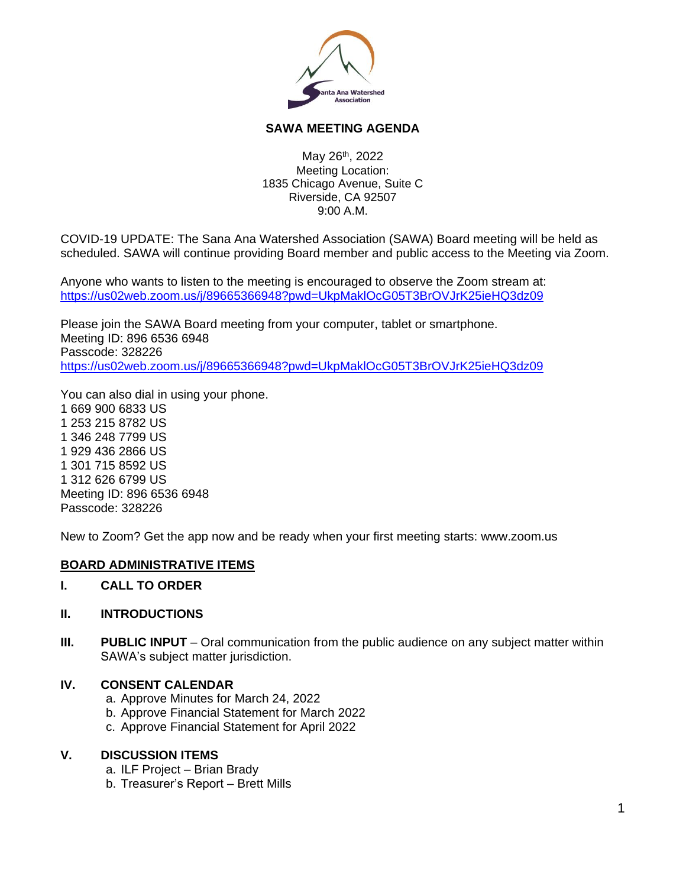

# **SAWA MEETING AGENDA**

May 26<sup>th</sup>, 2022 Meeting Location: 1835 Chicago Avenue, Suite C Riverside, CA 92507 9:00 A.M.

COVID-19 UPDATE: The Sana Ana Watershed Association (SAWA) Board meeting will be held as scheduled. SAWA will continue providing Board member and public access to the Meeting via Zoom.

Anyone who wants to listen to the meeting is encouraged to observe the Zoom stream at: <https://us02web.zoom.us/j/89665366948?pwd=UkpMaklOcG05T3BrOVJrK25ieHQ3dz09>

Please join the SAWA Board meeting from your computer, tablet or smartphone. Meeting ID: 896 6536 6948 Passcode: 328226 <https://us02web.zoom.us/j/89665366948?pwd=UkpMaklOcG05T3BrOVJrK25ieHQ3dz09>

You can also dial in using your phone. 1 669 900 6833 US 1 253 215 8782 US 1 346 248 7799 US 1 929 436 2866 US 1 301 715 8592 US 1 312 626 6799 US Meeting ID: 896 6536 6948 Passcode: 328226

New to Zoom? Get the app now and be ready when your first meeting starts: www.zoom.us

# **BOARD ADMINISTRATIVE ITEMS**

**I. CALL TO ORDER**

#### **II. INTRODUCTIONS**

**III. PUBLIC INPUT** – Oral communication from the public audience on any subject matter within SAWA's subject matter jurisdiction.

# **IV. CONSENT CALENDAR**

- a. Approve Minutes for March 24, 2022
- b. Approve Financial Statement for March 2022
- c. Approve Financial Statement for April 2022

#### **V. DISCUSSION ITEMS**

- a. ILF Project Brian Brady
- b. Treasurer's Report Brett Mills